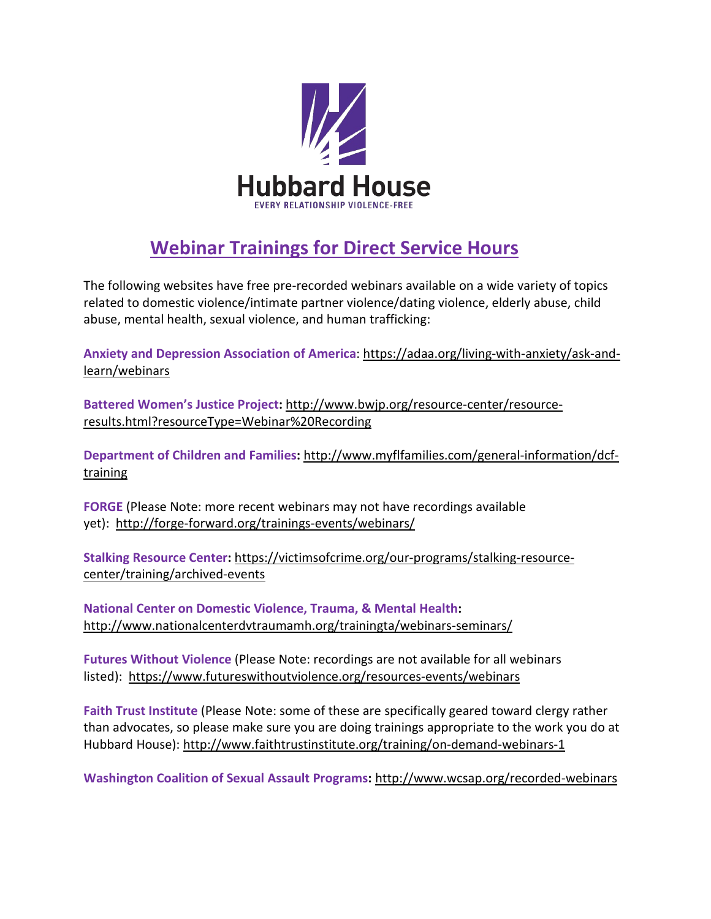

## **Webinar Trainings for Direct Service Hours**

The following websites have free pre-recorded webinars available on a wide variety of topics related to domestic violence/intimate partner violence/dating violence, elderly abuse, child abuse, mental health, sexual violence, and human trafficking:

**Anxiety and Depression Association of America**: [https://adaa.org/living-with-anxiety/ask-and](https://adaa.org/living-with-anxiety/ask-and-learn/webinars)[learn/webinars](https://adaa.org/living-with-anxiety/ask-and-learn/webinars)

**Battered Women's Justice Project:** [http://www.bwjp.org/resource-center/resource](http://www.bwjp.org/resource-center/resource-results.html?resourceType=Webinar%20Recording)[results.html?resourceType=Webinar%20Recording](http://www.bwjp.org/resource-center/resource-results.html?resourceType=Webinar%20Recording)

**Department of Children and Families:** [http://www.myflfamilies.com/general-information/dcf](http://www.myflfamilies.com/general-information/dcf-training)**[training](http://www.myflfamilies.com/general-information/dcf-training)** 

**FORGE** (Please Note: more recent webinars may not have recordings available yet):<http://forge-forward.org/trainings-events/webinars/>

**Stalking Resource Center:** [https://victimsofcrime.org/our-programs/stalking-resource](https://victimsofcrime.org/our-programs/stalking-resource-center/training/archived-events)[center/training/archived-events](https://victimsofcrime.org/our-programs/stalking-resource-center/training/archived-events)

**National Center on Domestic Violence, Trauma, & Mental Health:** <http://www.nationalcenterdvtraumamh.org/trainingta/webinars-seminars/>

**Futures Without Violence** (Please Note: recordings are not available for all webinars listed): <https://www.futureswithoutviolence.org/resources-events/webinars>

**Faith Trust Institute** (Please Note: some of these are specifically geared toward clergy rather than advocates, so please make sure you are doing trainings appropriate to the work you do at Hubbard House)[: http://www.faithtrustinstitute.org/training/on-demand-webinars-1](http://www.faithtrustinstitute.org/training/on-demand-webinars-1)

**Washington Coalition of Sexual Assault Programs:** <http://www.wcsap.org/recorded-webinars>